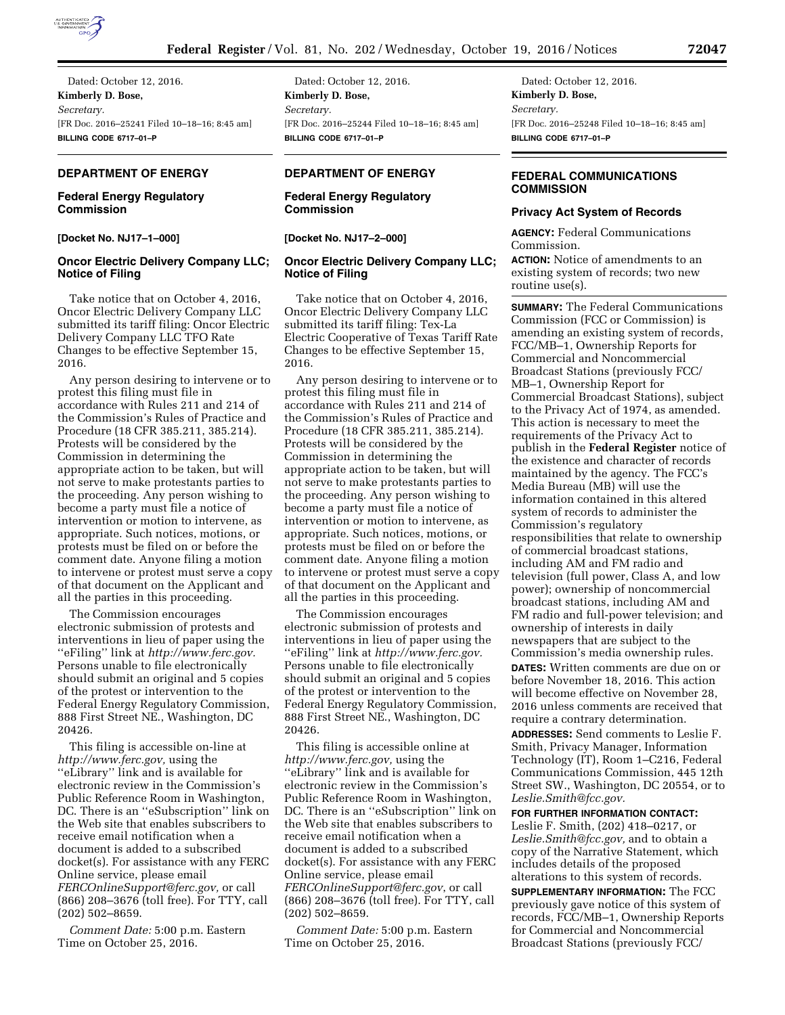

Dated: October 12, 2016. **Kimberly D. Bose,**  *Secretary.*  [FR Doc. 2016–25241 Filed 10–18–16; 8:45 am] **BILLING CODE 6717–01–P** 

# **DEPARTMENT OF ENERGY**

# **Federal Energy Regulatory Commission**

**[Docket No. NJ17–1–000]** 

# **Oncor Electric Delivery Company LLC; Notice of Filing**

Take notice that on October 4, 2016, Oncor Electric Delivery Company LLC submitted its tariff filing: Oncor Electric Delivery Company LLC TFO Rate Changes to be effective September 15, 2016.

Any person desiring to intervene or to protest this filing must file in accordance with Rules 211 and 214 of the Commission's Rules of Practice and Procedure (18 CFR 385.211, 385.214). Protests will be considered by the Commission in determining the appropriate action to be taken, but will not serve to make protestants parties to the proceeding. Any person wishing to become a party must file a notice of intervention or motion to intervene, as appropriate. Such notices, motions, or protests must be filed on or before the comment date. Anyone filing a motion to intervene or protest must serve a copy of that document on the Applicant and all the parties in this proceeding.

The Commission encourages electronic submission of protests and interventions in lieu of paper using the ''eFiling'' link at *[http://www.ferc.gov.](http://www.ferc.gov)*  Persons unable to file electronically should submit an original and 5 copies of the protest or intervention to the Federal Energy Regulatory Commission, 888 First Street NE., Washington, DC 20426.

This filing is accessible on-line at *[http://www.ferc.gov,](http://www.ferc.gov)* using the ''eLibrary'' link and is available for electronic review in the Commission's Public Reference Room in Washington, DC. There is an ''eSubscription'' link on the Web site that enables subscribers to receive email notification when a document is added to a subscribed docket(s). For assistance with any FERC Online service, please email *[FERCOnlineSupport@ferc.gov,](mailto:FERCOnlineSupport@ferc.gov)* or call (866) 208–3676 (toll free). For TTY, call (202) 502–8659.

*Comment Date:* 5:00 p.m. Eastern Time on October 25, 2016.

Dated: October 12, 2016. **Kimberly D. Bose,**  *Secretary.*  [FR Doc. 2016–25244 Filed 10–18–16; 8:45 am] **BILLING CODE 6717–01–P** 

# **DEPARTMENT OF ENERGY**

# **Federal Energy Regulatory Commission**

**[Docket No. NJ17–2–000]** 

# **Oncor Electric Delivery Company LLC; Notice of Filing**

Take notice that on October 4, 2016, Oncor Electric Delivery Company LLC submitted its tariff filing: Tex-La Electric Cooperative of Texas Tariff Rate Changes to be effective September 15, 2016.

Any person desiring to intervene or to protest this filing must file in accordance with Rules 211 and 214 of the Commission's Rules of Practice and Procedure (18 CFR 385.211, 385.214). Protests will be considered by the Commission in determining the appropriate action to be taken, but will not serve to make protestants parties to the proceeding. Any person wishing to become a party must file a notice of intervention or motion to intervene, as appropriate. Such notices, motions, or protests must be filed on or before the comment date. Anyone filing a motion to intervene or protest must serve a copy of that document on the Applicant and all the parties in this proceeding.

The Commission encourages electronic submission of protests and interventions in lieu of paper using the ''eFiling'' link at *[http://www.ferc.gov.](http://www.ferc.gov)*  Persons unable to file electronically should submit an original and 5 copies of the protest or intervention to the Federal Energy Regulatory Commission, 888 First Street NE., Washington, DC 20426.

This filing is accessible online at *[http://www.ferc.gov,](http://www.ferc.gov)* using the ''eLibrary'' link and is available for electronic review in the Commission's Public Reference Room in Washington, DC. There is an ''eSubscription'' link on the Web site that enables subscribers to receive email notification when a document is added to a subscribed docket(s). For assistance with any FERC Online service, please email *[FERCOnlineSupport@ferc.gov](mailto:FERCOnlineSupport@ferc.gov)*, or call (866) 208–3676 (toll free). For TTY, call (202) 502–8659.

*Comment Date:* 5:00 p.m. Eastern Time on October 25, 2016.

Dated: October 12, 2016. **Kimberly D. Bose,**  *Secretary.*  [FR Doc. 2016–25248 Filed 10–18–16; 8:45 am] **BILLING CODE 6717–01–P** 

# **FEDERAL COMMUNICATIONS COMMISSION**

### **Privacy Act System of Records**

**AGENCY:** Federal Communications Commission.

**ACTION:** Notice of amendments to an existing system of records; two new routine use(s).

**SUMMARY:** The Federal Communications Commission (FCC or Commission) is amending an existing system of records, FCC/MB–1, Ownership Reports for Commercial and Noncommercial Broadcast Stations (previously FCC/ MB–1, Ownership Report for Commercial Broadcast Stations), subject to the Privacy Act of 1974, as amended. This action is necessary to meet the requirements of the Privacy Act to publish in the **Federal Register** notice of the existence and character of records maintained by the agency. The FCC's Media Bureau (MB) will use the information contained in this altered system of records to administer the Commission's regulatory responsibilities that relate to ownership of commercial broadcast stations, including AM and FM radio and television (full power, Class A, and low power); ownership of noncommercial broadcast stations, including AM and FM radio and full-power television; and ownership of interests in daily newspapers that are subject to the Commission's media ownership rules. **DATES:** Written comments are due on or before November 18, 2016. This action will become effective on November 28, 2016 unless comments are received that require a contrary determination.

**ADDRESSES:** Send comments to Leslie F. Smith, Privacy Manager, Information Technology (IT), Room 1–C216, Federal Communications Commission, 445 12th Street SW., Washington, DC 20554, or to *[Leslie.Smith@fcc.gov.](mailto:Leslie.Smith@fcc.gov)* 

## **FOR FURTHER INFORMATION CONTACT:**

Leslie F. Smith, (202) 418–0217, or *[Leslie.Smith@fcc.gov,](mailto:Leslie.Smith@fcc.gov)* and to obtain a copy of the Narrative Statement, which includes details of the proposed alterations to this system of records.

**SUPPLEMENTARY INFORMATION:** The FCC previously gave notice of this system of records, FCC/MB–1, Ownership Reports for Commercial and Noncommercial Broadcast Stations (previously FCC/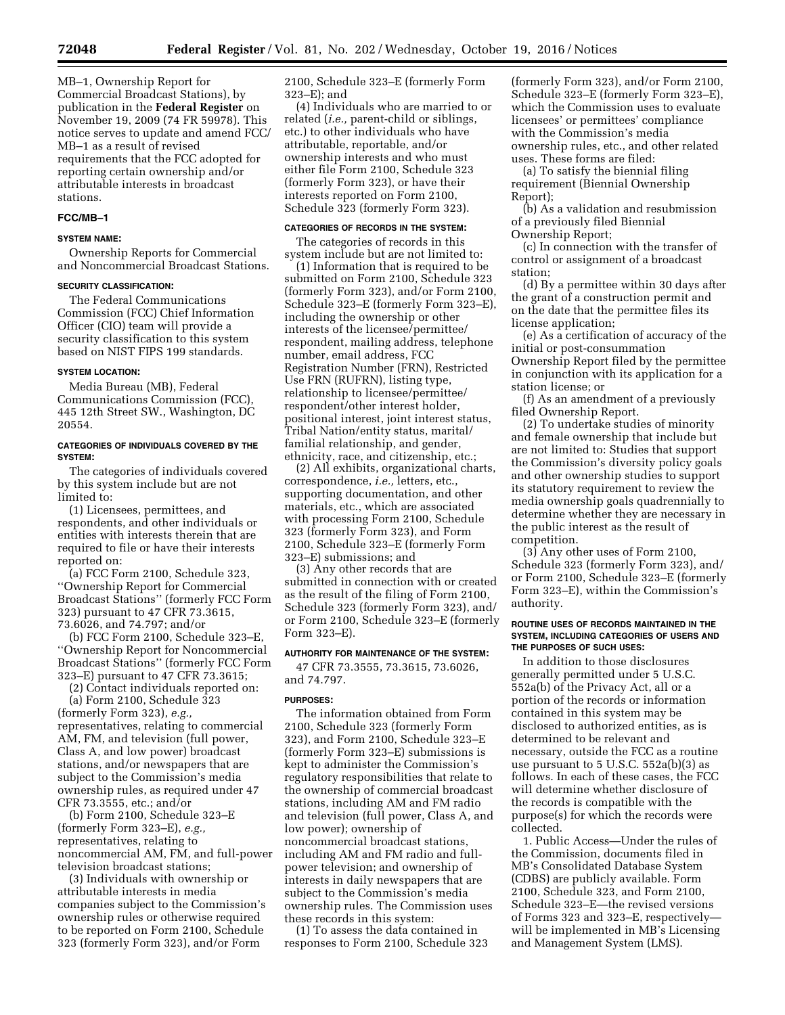MB–1, Ownership Report for Commercial Broadcast Stations), by publication in the **Federal Register** on November 19, 2009 (74 FR 59978). This notice serves to update and amend FCC/ MB–1 as a result of revised requirements that the FCC adopted for reporting certain ownership and/or attributable interests in broadcast stations.

#### **FCC/MB–1**

#### **SYSTEM NAME:**

Ownership Reports for Commercial and Noncommercial Broadcast Stations.

#### **SECURITY CLASSIFICATION:**

The Federal Communications Commission (FCC) Chief Information Officer (CIO) team will provide a security classification to this system based on NIST FIPS 199 standards.

## **SYSTEM LOCATION:**

Media Bureau (MB), Federal Communications Commission (FCC), 445 12th Street SW., Washington, DC 20554.

### **CATEGORIES OF INDIVIDUALS COVERED BY THE SYSTEM:**

The categories of individuals covered by this system include but are not limited to:

(1) Licensees, permittees, and respondents, and other individuals or entities with interests therein that are required to file or have their interests reported on:

(a) FCC Form 2100, Schedule 323, ''Ownership Report for Commercial Broadcast Stations'' (formerly FCC Form 323) pursuant to 47 CFR 73.3615, 73.6026, and 74.797; and/or

(b) FCC Form 2100, Schedule 323–E, ''Ownership Report for Noncommercial Broadcast Stations'' (formerly FCC Form 323–E) pursuant to 47 CFR 73.3615;

(2) Contact individuals reported on: (a) Form 2100, Schedule 323 (formerly Form 323), *e.g.,*  representatives, relating to commercial AM, FM, and television (full power, Class A, and low power) broadcast stations, and/or newspapers that are subject to the Commission's media ownership rules, as required under 47 CFR 73.3555, etc.; and/or

(b) Form 2100, Schedule 323–E (formerly Form 323–E), *e.g.,*  representatives, relating to noncommercial AM, FM, and full-power television broadcast stations;

(3) Individuals with ownership or attributable interests in media companies subject to the Commission's ownership rules or otherwise required to be reported on Form 2100, Schedule 323 (formerly Form 323), and/or Form

2100, Schedule 323–E (formerly Form 323–E); and

(4) Individuals who are married to or related (*i.e.,* parent-child or siblings, etc.) to other individuals who have attributable, reportable, and/or ownership interests and who must either file Form 2100, Schedule 323 (formerly Form 323), or have their interests reported on Form 2100, Schedule 323 (formerly Form 323).

#### **CATEGORIES OF RECORDS IN THE SYSTEM:**

The categories of records in this system include but are not limited to:

(1) Information that is required to be submitted on Form 2100, Schedule 323 (formerly Form 323), and/or Form 2100, Schedule 323–E (formerly Form 323–E), including the ownership or other interests of the licensee/permittee/ respondent, mailing address, telephone number, email address, FCC Registration Number (FRN), Restricted Use FRN (RUFRN), listing type, relationship to licensee/permittee/ respondent/other interest holder, positional interest, joint interest status, Tribal Nation/entity status, marital/ familial relationship, and gender, ethnicity, race, and citizenship, etc.;

(2) All exhibits, organizational charts, correspondence, *i.e.,* letters, etc., supporting documentation, and other materials, etc., which are associated with processing Form 2100, Schedule 323 (formerly Form 323), and Form 2100, Schedule 323–E (formerly Form 323–E) submissions; and

(3) Any other records that are submitted in connection with or created as the result of the filing of Form 2100, Schedule 323 (formerly Form 323), and/ or Form 2100, Schedule 323–E (formerly Form 323–E).

#### **AUTHORITY FOR MAINTENANCE OF THE SYSTEM:**

47 CFR 73.3555, 73.3615, 73.6026, and 74.797.

#### **PURPOSES:**

The information obtained from Form 2100, Schedule 323 (formerly Form 323), and Form 2100, Schedule 323–E (formerly Form 323–E) submissions is kept to administer the Commission's regulatory responsibilities that relate to the ownership of commercial broadcast stations, including AM and FM radio and television (full power, Class A, and low power); ownership of noncommercial broadcast stations, including AM and FM radio and fullpower television; and ownership of interests in daily newspapers that are subject to the Commission's media ownership rules. The Commission uses these records in this system:

(1) To assess the data contained in responses to Form 2100, Schedule 323

(formerly Form 323), and/or Form 2100, Schedule 323–E (formerly Form 323–E), which the Commission uses to evaluate licensees' or permittees' compliance with the Commission's media ownership rules, etc., and other related uses. These forms are filed:

(a) To satisfy the biennial filing requirement (Biennial Ownership Report);

(b) As a validation and resubmission of a previously filed Biennial Ownership Report;

(c) In connection with the transfer of control or assignment of a broadcast station;

(d) By a permittee within 30 days after the grant of a construction permit and on the date that the permittee files its license application;

(e) As a certification of accuracy of the initial or post-consummation Ownership Report filed by the permittee in conjunction with its application for a station license; or

(f) As an amendment of a previously filed Ownership Report.

(2) To undertake studies of minority and female ownership that include but are not limited to: Studies that support the Commission's diversity policy goals and other ownership studies to support its statutory requirement to review the media ownership goals quadrennially to determine whether they are necessary in the public interest as the result of competition.

(3) Any other uses of Form 2100, Schedule 323 (formerly Form 323), and/ or Form 2100, Schedule 323–E (formerly Form 323–E), within the Commission's authority.

#### **ROUTINE USES OF RECORDS MAINTAINED IN THE SYSTEM, INCLUDING CATEGORIES OF USERS AND THE PURPOSES OF SUCH USES:**

In addition to those disclosures generally permitted under 5 U.S.C. 552a(b) of the Privacy Act, all or a portion of the records or information contained in this system may be disclosed to authorized entities, as is determined to be relevant and necessary, outside the FCC as a routine use pursuant to 5 U.S.C. 552a(b)(3) as follows. In each of these cases, the FCC will determine whether disclosure of the records is compatible with the purpose(s) for which the records were collected.

1. Public Access—Under the rules of the Commission, documents filed in MB's Consolidated Database System (CDBS) are publicly available. Form 2100, Schedule 323, and Form 2100, Schedule 323–E—the revised versions of Forms 323 and 323–E, respectively will be implemented in MB's Licensing and Management System (LMS).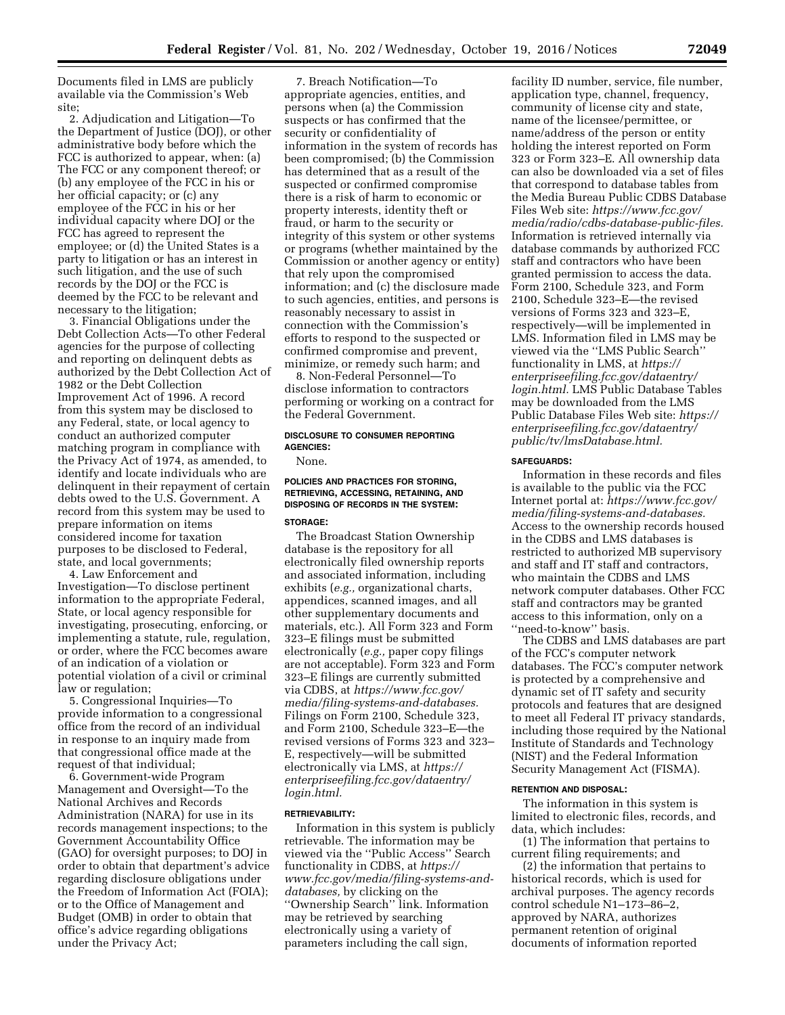Documents filed in LMS are publicly available via the Commission's Web site;

2. Adjudication and Litigation—To the Department of Justice (DOJ), or other administrative body before which the FCC is authorized to appear, when: (a) The FCC or any component thereof; or (b) any employee of the FCC in his or her official capacity; or (c) any employee of the FCC in his or her individual capacity where DOJ or the FCC has agreed to represent the employee; or (d) the United States is a party to litigation or has an interest in such litigation, and the use of such records by the DOJ or the FCC is deemed by the FCC to be relevant and necessary to the litigation;

3. Financial Obligations under the Debt Collection Acts—To other Federal agencies for the purpose of collecting and reporting on delinquent debts as authorized by the Debt Collection Act of 1982 or the Debt Collection Improvement Act of 1996. A record from this system may be disclosed to any Federal, state, or local agency to conduct an authorized computer matching program in compliance with the Privacy Act of 1974, as amended, to identify and locate individuals who are delinquent in their repayment of certain debts owed to the U.S. Government. A record from this system may be used to prepare information on items considered income for taxation purposes to be disclosed to Federal, state, and local governments;

4. Law Enforcement and Investigation—To disclose pertinent information to the appropriate Federal, State, or local agency responsible for investigating, prosecuting, enforcing, or implementing a statute, rule, regulation, or order, where the FCC becomes aware of an indication of a violation or potential violation of a civil or criminal law or regulation;

5. Congressional Inquiries—To provide information to a congressional office from the record of an individual in response to an inquiry made from that congressional office made at the request of that individual;

6. Government-wide Program Management and Oversight—To the National Archives and Records Administration (NARA) for use in its records management inspections; to the Government Accountability Office (GAO) for oversight purposes; to DOJ in order to obtain that department's advice regarding disclosure obligations under the Freedom of Information Act (FOIA); or to the Office of Management and Budget (OMB) in order to obtain that office's advice regarding obligations under the Privacy Act;

7. Breach Notification—To appropriate agencies, entities, and persons when (a) the Commission suspects or has confirmed that the security or confidentiality of information in the system of records has been compromised; (b) the Commission has determined that as a result of the suspected or confirmed compromise there is a risk of harm to economic or property interests, identity theft or fraud, or harm to the security or integrity of this system or other systems or programs (whether maintained by the Commission or another agency or entity) that rely upon the compromised information; and (c) the disclosure made to such agencies, entities, and persons is reasonably necessary to assist in connection with the Commission's efforts to respond to the suspected or confirmed compromise and prevent, minimize, or remedy such harm; and

8. Non-Federal Personnel—To disclose information to contractors performing or working on a contract for the Federal Government.

# **DISCLOSURE TO CONSUMER REPORTING AGENCIES:**

None.

# **POLICIES AND PRACTICES FOR STORING, RETRIEVING, ACCESSING, RETAINING, AND DISPOSING OF RECORDS IN THE SYSTEM:**

## **STORAGE:**

The Broadcast Station Ownership database is the repository for all electronically filed ownership reports and associated information, including exhibits (*e.g.,* organizational charts, appendices, scanned images, and all other supplementary documents and materials, etc.). All Form 323 and Form 323–E filings must be submitted electronically (*e.g.,* paper copy filings are not acceptable). Form 323 and Form 323–E filings are currently submitted via CDBS, at *[https://www.fcc.gov/](https://www.fcc.gov/media/filing-systems-and-databases)  [media/filing-systems-and-databases.](https://www.fcc.gov/media/filing-systems-and-databases)*  Filings on Form 2100, Schedule 323, and Form 2100, Schedule 323–E—the revised versions of Forms 323 and 323– E, respectively—will be submitted electronically via LMS, at *[https://](https://enterpriseefiling.fcc.gov/dataentry/login.html) [enterpriseefiling.fcc.gov/dataentry/](https://enterpriseefiling.fcc.gov/dataentry/login.html) [login.html.](https://enterpriseefiling.fcc.gov/dataentry/login.html)* 

#### **RETRIEVABILITY:**

Information in this system is publicly retrievable. The information may be viewed via the ''Public Access'' Search functionality in CDBS, at *[https://](https://www.fcc.gov/media/filing-systems-and-databases) [www.fcc.gov/media/filing-systems-and](https://www.fcc.gov/media/filing-systems-and-databases)[databases,](https://www.fcc.gov/media/filing-systems-and-databases)* by clicking on the ''Ownership Search'' link. Information may be retrieved by searching electronically using a variety of parameters including the call sign,

facility ID number, service, file number, application type, channel, frequency, community of license city and state, name of the licensee/permittee, or name/address of the person or entity holding the interest reported on Form 323 or Form 323–E. All ownership data can also be downloaded via a set of files that correspond to database tables from the Media Bureau Public CDBS Database Files Web site: *[https://www.fcc.gov/](https://www.fcc.gov/media/radio/cdbs-database-public-files)  [media/radio/cdbs-database-public-files.](https://www.fcc.gov/media/radio/cdbs-database-public-files)*  Information is retrieved internally via database commands by authorized FCC staff and contractors who have been granted permission to access the data. Form 2100, Schedule 323, and Form 2100, Schedule 323–E—the revised versions of Forms 323 and 323–E, respectively—will be implemented in LMS. Information filed in LMS may be viewed via the ''LMS Public Search'' functionality in LMS, at *[https://](https://enterpriseefiling.fcc.gov/dataentry/login.html) [enterpriseefiling.fcc.gov/dataentry/](https://enterpriseefiling.fcc.gov/dataentry/login.html) [login.html.](https://enterpriseefiling.fcc.gov/dataentry/login.html)* LMS Public Database Tables may be downloaded from the LMS Public Database Files Web site: *[https://](https://enterpriseefiling.fcc.gov/dataentry/public/tv/lmsDatabase.html) [enterpriseefiling.fcc.gov/dataentry/](https://enterpriseefiling.fcc.gov/dataentry/public/tv/lmsDatabase.html) [public/tv/lmsDatabase.html.](https://enterpriseefiling.fcc.gov/dataentry/public/tv/lmsDatabase.html)* 

#### **SAFEGUARDS:**

Information in these records and files is available to the public via the FCC Internet portal at: *[https://www.fcc.gov/](https://www.fcc.gov/media/filing-systems-and-databases) [media/filing-systems-and-databases.](https://www.fcc.gov/media/filing-systems-and-databases)*  Access to the ownership records housed in the CDBS and LMS databases is restricted to authorized MB supervisory and staff and IT staff and contractors, who maintain the CDBS and LMS network computer databases. Other FCC staff and contractors may be granted access to this information, only on a ''need-to-know'' basis.

The CDBS and LMS databases are part of the FCC's computer network databases. The FCC's computer network is protected by a comprehensive and dynamic set of IT safety and security protocols and features that are designed to meet all Federal IT privacy standards, including those required by the National Institute of Standards and Technology (NIST) and the Federal Information Security Management Act (FISMA).

#### **RETENTION AND DISPOSAL:**

The information in this system is limited to electronic files, records, and data, which includes:

(1) The information that pertains to current filing requirements; and

(2) the information that pertains to historical records, which is used for archival purposes. The agency records control schedule N1–173–86–2, approved by NARA, authorizes permanent retention of original documents of information reported